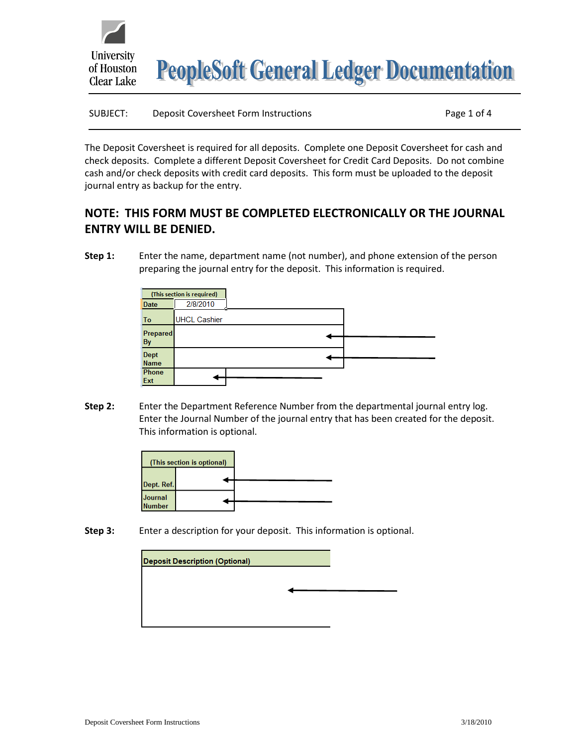

| SUBJECT: | Deposit Coversheet Form Instructions | Page 1 of 4 |
|----------|--------------------------------------|-------------|
|          |                                      |             |

The Deposit Coversheet is required for all deposits. Complete one Deposit Coversheet for cash and check deposits. Complete a different Deposit Coversheet for Credit Card Deposits. Do not combine cash and/or check deposits with credit card deposits. This form must be uploaded to the deposit journal entry as backup for the entry.

## **NOTE: THIS FORM MUST BE COMPLETED ELECTRONICALLY OR THE JOURNAL ENTRY WILL BE DENIED.**

**Step 1:** Enter the name, department name (not number), and phone extension of the person preparing the journal entry for the deposit. This information is required.

|                       | (This section is required) |  |
|-----------------------|----------------------------|--|
| <b>Date</b>           | 2/8/2010                   |  |
| To                    | <b>UHCL Cashier</b>        |  |
| Prepared<br><b>By</b> |                            |  |
| Dept                  |                            |  |
| <b>Name</b>           |                            |  |
| Phone                 |                            |  |
| Ext                   |                            |  |

**Step 2:** Enter the Department Reference Number from the departmental journal entry log. Enter the Journal Number of the journal entry that has been created for the deposit. This information is optional.



**Step 3:** Enter a description for your deposit. This information is optional.

| <b>Deposit Description (Optional)</b> |  |
|---------------------------------------|--|
|                                       |  |
|                                       |  |
|                                       |  |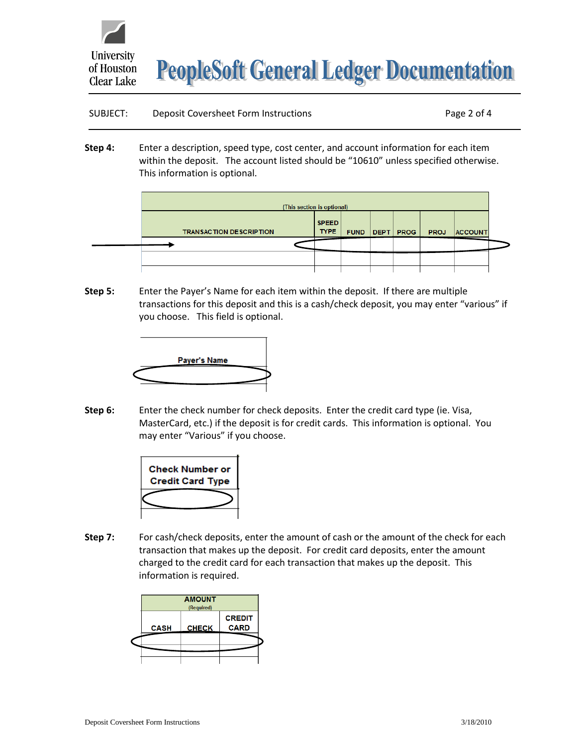

**PeopleSoft General Ledger Documentation** 

## SUBJECT: Deposit Coversheet Form Instructions The Cover Page 2 of 4

**Step 4:** Enter a description, speed type, cost center, and account information for each item within the deposit. The account listed should be "10610" unless specified otherwise. This information is optional.

| (This section is optional)     |                             |             |  |             |             |                |  |
|--------------------------------|-----------------------------|-------------|--|-------------|-------------|----------------|--|
| <b>TRANSACTION DESCRIPTION</b> | <b>SPEED</b><br><b>TYPE</b> | <b>FUND</b> |  | DEPT   PROG | <b>PROJ</b> | <b>ACCOUNT</b> |  |
|                                |                             |             |  |             |             |                |  |
|                                |                             |             |  |             |             |                |  |
|                                |                             |             |  |             |             |                |  |

**Step 5:** Enter the Payer's Name for each item within the deposit. If there are multiple transactions for this deposit and this is a cash/check deposit, you may enter "various" if you choose. This field is optional.



**Step 6:** Enter the check number for check deposits. Enter the credit card type (ie. Visa, MasterCard, etc.) if the deposit is for credit cards. This information is optional. You may enter "Various" if you choose.



**Step 7:** For cash/check deposits, enter the amount of cash or the amount of the check for each transaction that makes up the deposit. For credit card deposits, enter the amount charged to the credit card for each transaction that makes up the deposit. This information is required.

|             | <b>AMOUNT</b><br>(Required) |                              |
|-------------|-----------------------------|------------------------------|
| <b>CASH</b> | <b>CHECK</b>                | <b>CREDIT</b><br><b>CARD</b> |
|             |                             |                              |
|             |                             |                              |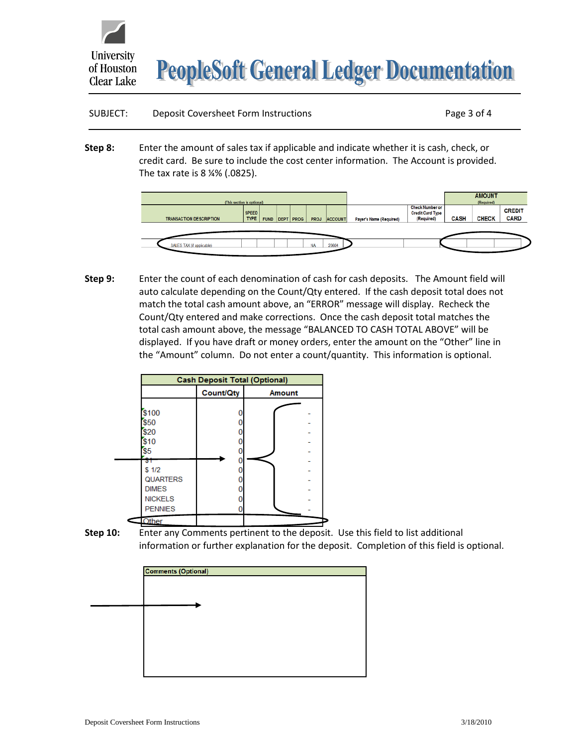

**PeopleSoft General Ledger Documentation** 

| SUBJECT: | Deposit Coversheet Form Instructions | Page 3 of 4 |
|----------|--------------------------------------|-------------|
|          |                                      |             |

**Step 8:** Enter the amount of sales tax if applicable and indicate whether it is cash, check, or credit card. Be sure to include the cost center information. The Account is provided. The tax rate is 8 ¼% (.0825).



**Step 9:** Enter the count of each denomination of cash for cash deposits. The Amount field will auto calculate depending on the Count/Qty entered. If the cash deposit total does not match the total cash amount above, an "ERROR" message will display. Recheck the Count/Qty entered and make corrections. Once the cash deposit total matches the total cash amount above, the message "BALANCED TO CASH TOTAL ABOVE" will be displayed. If you have draft or money orders, enter the amount on the "Other" line in the "Amount" column. Do not enter a count/quantity. This information is optional.



**Step 10:** Enter any Comments pertinent to the deposit. Use this field to list additional information or further explanation for the deposit. Completion of this field is optional.

| <b>Comments (Optional)</b> |  |  |
|----------------------------|--|--|
|                            |  |  |
|                            |  |  |
|                            |  |  |
|                            |  |  |
|                            |  |  |
|                            |  |  |
|                            |  |  |
|                            |  |  |
|                            |  |  |